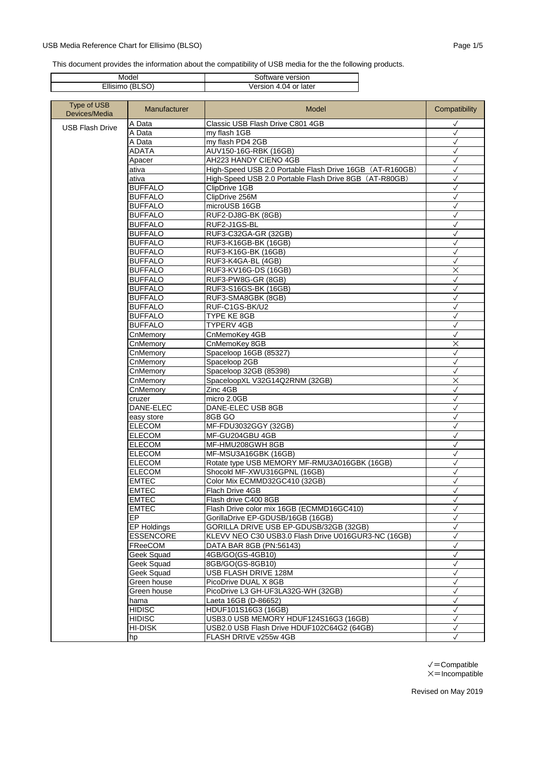## USB Media Reference Chart for Ellisimo (BLSO) example 20 and 20 and 20 and 20 and 20 and 20 and 20 and 20 and 20 and 20 and 20 and 20 and 20 and 20 and 20 and 20 and 20 and 20 and 20 and 20 and 20 and 20 and 20 and 20 and

This document provides the information about the compatibility of USB media for the the following products.

| Model           | Software version      |
|-----------------|-----------------------|
| Ellisimo (BLSO) | Version 4.04 or later |

| Type of USB<br>Devices/Media | Manufacturer     | Model                                                    | Compatibility |
|------------------------------|------------------|----------------------------------------------------------|---------------|
| <b>USB Flash Drive</b>       | A Data           | Classic USB Flash Drive C801 4GB                         | $\checkmark$  |
|                              | A Data           | my flash 1GB                                             | $\checkmark$  |
|                              | A Data           | my flash PD4 2GB                                         | $\checkmark$  |
|                              | <b>ADATA</b>     | AUV150-16G-RBK (16GB)                                    | $\checkmark$  |
|                              | Apacer           | AH223 HANDY CIENO 4GB                                    | $\checkmark$  |
|                              | ativa            | High-Speed USB 2.0 Portable Flash Drive 16GB (AT-R160GB) | $\checkmark$  |
|                              | ativa            | High-Speed USB 2.0 Portable Flash Drive 8GB (AT-R80GB)   | $\checkmark$  |
|                              | <b>BUFFALO</b>   | ClipDrive 1GB                                            | √             |
|                              | <b>BUFFALO</b>   | ClipDrive 256M                                           | $\checkmark$  |
|                              | <b>BUFFALO</b>   | microUSB 16GB                                            | ✓             |
|                              | <b>BUFFALO</b>   | RUF2-DJ8G-BK (8GB)                                       | $\checkmark$  |
|                              | <b>BUFFALO</b>   | RUF2-J1GS-BL                                             | $\checkmark$  |
|                              | <b>BUFFALO</b>   | RUF3-C32GA-GR (32GB)                                     | $\checkmark$  |
|                              | <b>BUFFALO</b>   | RUF3-K16GB-BK (16GB)                                     | $\checkmark$  |
|                              | <b>BUFFALO</b>   | RUF3-K16G-BK (16GB)                                      | $\checkmark$  |
|                              | <b>BUFFALO</b>   | RUF3-K4GA-BL (4GB)                                       | $\checkmark$  |
|                              | <b>BUFFALO</b>   | RUF3-KV16G-DS (16GB)                                     | $\times$      |
|                              | <b>BUFFALO</b>   | RUF3-PW8G-GR (8GB)                                       | $\checkmark$  |
|                              | <b>BUFFALO</b>   | RUF3-S16GS-BK (16GB)                                     | $\checkmark$  |
|                              | <b>BUFFALO</b>   | RUF3-SMA8GBK (8GB)                                       | $\checkmark$  |
|                              | <b>BUFFALO</b>   | RUF-C1GS-BK/U2                                           | $\checkmark$  |
|                              | <b>BUFFALO</b>   | TYPE KE 8GB                                              | $\checkmark$  |
|                              | <b>BUFFALO</b>   | <b>TYPERV 4GB</b>                                        | $\checkmark$  |
|                              | CnMemory         | CnMemoKey 4GB                                            | $\checkmark$  |
|                              | CnMemory         | CnMemoKey 8GB                                            | $\times$      |
|                              | CnMemory         | Spaceloop 16GB (85327)                                   | $\checkmark$  |
|                              | CnMemory         | Spaceloop 2GB                                            | $\checkmark$  |
|                              | CnMemory         | Spaceloop 32GB (85398)                                   |               |
|                              | CnMemory         | SpaceloopXL V32G14Q2RNM (32GB)                           | $\times$      |
|                              | CnMemory         | Zinc 4GB                                                 | $\checkmark$  |
|                              | cruzer           | micro 2.0GB                                              | $\checkmark$  |
|                              | DANE-ELEC        | DANE-ELEC USB 8GB                                        | $\checkmark$  |
|                              | easy store       | 8GB GO                                                   | $\checkmark$  |
|                              | <b>ELECOM</b>    | MF-FDU3032GGY (32GB)                                     | ✓             |
|                              | <b>ELECOM</b>    | MF-GU204GBU 4GB                                          | $\checkmark$  |
|                              | <b>ELECOM</b>    | MF-HMU208GWH 8GB                                         | $\checkmark$  |
|                              | <b>ELECOM</b>    | MF-MSU3A16GBK (16GB)                                     | $\checkmark$  |
|                              | <b>ELECOM</b>    | Rotate type USB MEMORY MF-RMU3A016GBK (16GB)             | $\checkmark$  |
|                              | <b>ELECOM</b>    | Shocold MF-XWU316GPNL (16GB)                             | $\checkmark$  |
|                              | <b>EMTEC</b>     | Color Mix ECMMD32GC410 (32GB)                            | ✓             |
|                              | <b>EMTEC</b>     | Flach Drive 4GB                                          | √             |
|                              | <b>EMTEC</b>     | Flash drive C400 8GB                                     | $\checkmark$  |
|                              | <b>EMTEC</b>     | Flash Drive color mix 16GB (ECMMD16GC410)                | $\checkmark$  |
|                              | EP.              | GorillaDrive EP-GDUSB/16GB (16GB)                        | ✓             |
|                              | EP Holdings      | GORILLA DRIVE USB EP-GDUSB/32GB (32GB)                   | $\checkmark$  |
|                              | <b>ESSENCORE</b> | KLEVV NEO C30 USB3.0 Flash Drive U016GUR3-NC (16GB)      | $\checkmark$  |
|                              | FReeCOM          | DATA BAR 8GB (PN:56143)                                  | ✓             |
|                              | Geek Squad       | 4GB/GO(GS-4GB10)                                         | $\checkmark$  |
|                              | Geek Squad       | 8GB/GO(GS-8GB10)                                         | $\checkmark$  |
|                              | Geek Squad       | USB FLASH DRIVE 128M                                     | $\checkmark$  |
|                              | Green house      | PicoDrive DUAL X 8GB                                     | ✓             |
|                              | Green house      | PicoDrive L3 GH-UF3LA32G-WH (32GB)                       | $\checkmark$  |
|                              |                  |                                                          |               |
|                              | hama             | Laeta 16GB (D-86652)                                     | $\checkmark$  |
|                              | <b>HIDISC</b>    | HDUF101S16G3 (16GB)                                      | $\checkmark$  |
|                              | <b>HIDISC</b>    | USB3.0 USB MEMORY HDUF124S16G3 (16GB)                    | $\checkmark$  |
|                              | <b>HI-DISK</b>   | USB2.0 USB Flash Drive HDUF102C64G2 (64GB)               | $\checkmark$  |
|                              | hp               | FLASH DRIVE v255w 4GB                                    | $\checkmark$  |

✓=Compatible  $\times$ =Incompatible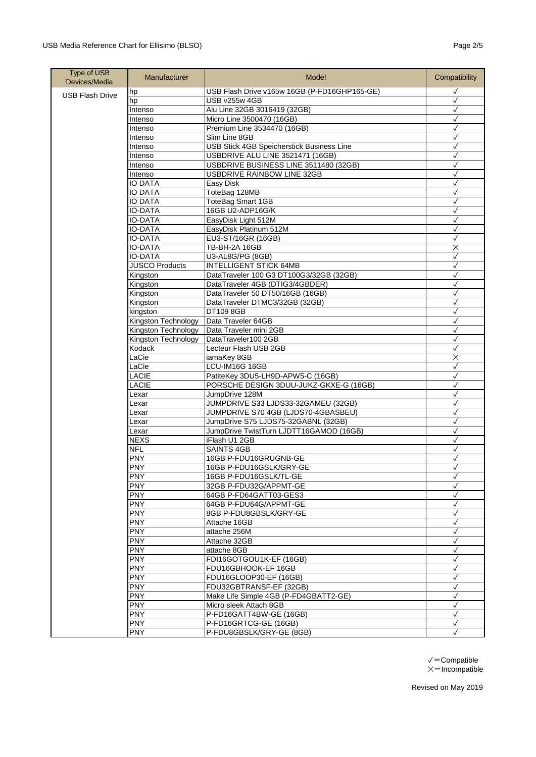| <b>Type of USB</b><br>Devices/Media | Manufacturer                  | Model                                         | Compatibility                |
|-------------------------------------|-------------------------------|-----------------------------------------------|------------------------------|
| <b>USB Flash Drive</b>              | hp                            | USB Flash Drive v165w 16GB (P-FD16GHP165-GE)  | $\checkmark$                 |
|                                     | hp                            | USB v255w 4GB                                 | $\checkmark$                 |
|                                     | Intenso                       | Alu Line 32GB 3016419 (32GB)                  | $\checkmark$                 |
|                                     | Intenso                       | Micro Line 3500470 (16GB)                     | ✓                            |
|                                     | Intenso                       | Premium Line 3534470 (16GB)                   | $\checkmark$                 |
|                                     | Intenso                       | Slim Line 8GB                                 | $\checkmark$                 |
|                                     | Intenso                       | USB Stick 4GB Speicherstick Business Line     | $\checkmark$                 |
|                                     | Intenso                       | USBDRIVE ALU LINE 3521471 (16GB)              | $\checkmark$                 |
|                                     | Intenso                       | USBDRIVE BUSINESS LINE 3511480 (32GB)         | √                            |
|                                     | <b>Intenso</b>                | <b>USBDRIVE RAINBOW LINE 32GB</b>             | $\checkmark$                 |
|                                     | <b>IO DATA</b>                | Easy Disk                                     | $\checkmark$                 |
|                                     | <b>IO DATA</b>                | ToteBag 128MB                                 | $\checkmark$                 |
|                                     | <b>IO DATA</b>                | ToteBag Smart 1GB                             | $\checkmark$                 |
|                                     | <b>IO-DATA</b>                | 16GB U2-ADP16G/K                              | ✓                            |
|                                     | <b>IO-DATA</b>                | EasyDisk Light 512M                           | $\checkmark$                 |
|                                     | <b>IO-DATA</b>                | EasyDisk Platinum 512M                        | $\checkmark$                 |
|                                     | <b>IO-DATA</b>                | EU3-ST/16GR (16GB)                            | $\checkmark$                 |
|                                     | <b>IO-DATA</b>                | TB-BH-2A 16GB                                 | $\times$<br>$\checkmark$     |
|                                     | <b>IO-DATA</b>                | U3-AL8G/PG (8GB)                              |                              |
|                                     | <b>JUSCO Products</b>         | <b>INTELLIGENT STICK 64MB</b>                 | $\checkmark$                 |
|                                     | Kingston                      | DataTraveler 100 G3 DT100G3/32GB (32GB)       | $\checkmark$                 |
|                                     | Kingston                      | DataTraveler 4GB (DTIG3/4GBDER)               | $\checkmark$                 |
|                                     | Kingston                      | DataTraveler 50 DT50/16GB (16GB)              | $\checkmark$                 |
|                                     | Kingston                      | DataTraveler DTMC3/32GB (32GB)                | ✓                            |
|                                     | kingston                      | DT109 8GB                                     | $\checkmark$<br>$\checkmark$ |
|                                     | Kingston Technology           | Data Traveler 64GB                            |                              |
|                                     | Kingston Technology           | Data Traveler mini 2GB<br>DataTraveler100 2GB | $\checkmark$<br>$\checkmark$ |
|                                     | Kingston Technology<br>Kodack | Lecteur Flash USB 2GB                         | $\checkmark$                 |
|                                     | LaCie                         |                                               | $\times$                     |
|                                     | LaCie                         | iamaKey 8GB<br>LCU-IM16G 16GB                 | $\checkmark$                 |
|                                     | LACIE                         | PatiteKey 3DU5-LH9D-APW5-C (16GB)             | $\checkmark$                 |
|                                     | LACIE                         | PORSCHE DESIGN 3DUU-JUKZ-GKXE-G (16GB)        | $\checkmark$                 |
|                                     | Lexar                         | JumpDrive 128M                                | $\checkmark$                 |
|                                     | Lexar                         | JUMPDRIVE S33 LJDS33-32GAMEU (32GB)           | $\checkmark$                 |
|                                     | Lexar                         | JUMPDRIVE S70 4GB (LJDS70-4GBASBEU)           | $\checkmark$                 |
|                                     | Lexar                         | JumpDrive S75 LJDS75-32GABNL (32GB)           | $\checkmark$                 |
|                                     | Lexar                         | JumpDrive TwistTurn LJDTT16GAMOD (16GB)       | $\checkmark$                 |
|                                     | <b>NEXS</b>                   | iFlash U1 2GB                                 | $\checkmark$                 |
|                                     | <b>NFL</b>                    | <b>SAINTS 4GB</b>                             | $\checkmark$                 |
|                                     | <b>PNY</b>                    | 16GB P-FDU16GRUGNB-GE                         | $\checkmark$                 |
|                                     | <b>PNY</b>                    | 16GB P-FDU16GSLK/GRY-GE                       | $\checkmark$                 |
|                                     | <b>PNY</b>                    | 16GB P-FDU16GSLK/TL-GE                        | $\checkmark$                 |
|                                     | <b>PNY</b>                    | 32GB P-FDU32G/APPMT-GE                        | $\checkmark$                 |
|                                     | <b>PNY</b>                    | 64GB P-FD64GATT03-GES3                        | $\checkmark$                 |
|                                     | <b>PNY</b>                    | 64GB P-FDU64G/APPMT-GE                        | $\checkmark$                 |
|                                     | <b>PNY</b>                    | 8GB P-FDU8GBSLK/GRY-GE                        | $\checkmark$                 |
|                                     | <b>PNY</b>                    | Attache 16GB                                  | $\checkmark$                 |
|                                     | <b>PNY</b>                    | attache 256M                                  | $\checkmark$                 |
|                                     | <b>PNY</b>                    | Attache 32GB                                  | $\checkmark$                 |
|                                     | <b>PNY</b>                    | attache 8GB                                   | $\checkmark$                 |
|                                     | <b>PNY</b>                    | FDI16GOTGOU1K-EF (16GB)                       | $\checkmark$                 |
|                                     | <b>PNY</b>                    | FDU16GBHOOK-EF 16GB                           | $\checkmark$                 |
|                                     | <b>PNY</b>                    | FDU16GLOOP30-EF (16GB)                        | $\checkmark$                 |
|                                     | <b>PNY</b>                    | FDU32GBTRANSF-EF (32GB)                       | $\checkmark$                 |
|                                     | <b>PNY</b>                    | Make Life Simple 4GB (P-FD4GBATT2-GE)         | $\checkmark$                 |
|                                     | <b>PNY</b>                    | Micro sleek Attach 8GB                        | $\checkmark$                 |
|                                     | <b>PNY</b>                    | P-FD16GATT4BW-GE (16GB)                       | $\checkmark$                 |
|                                     | <b>PNY</b>                    | P-FD16GRTCG-GE (16GB)                         | $\checkmark$                 |
|                                     | <b>PNY</b>                    | P-FDU8GBSLK/GRY-GE (8GB)                      | $\checkmark$                 |

 $\checkmark =$ Compatible  $\times$ =Incompatible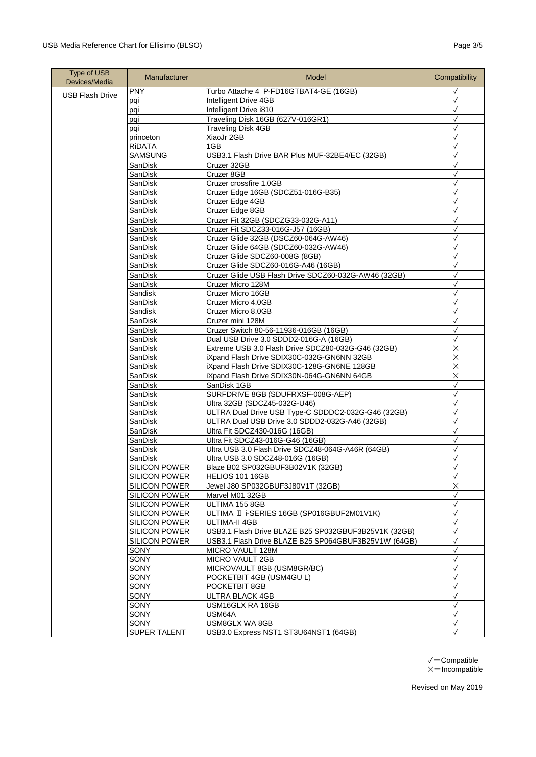| <b>Type of USB</b><br>Devices/Media | Manufacturer         | Model                                                                                       | Compatibility                |
|-------------------------------------|----------------------|---------------------------------------------------------------------------------------------|------------------------------|
| <b>USB Flash Drive</b>              | <b>PNY</b>           | Turbo Attache 4 P-FD16GTBAT4-GE (16GB)                                                      | ✓                            |
|                                     | pqi                  | Intelligent Drive 4GB                                                                       | ✓                            |
|                                     | pqi                  | Intelligent Drive i810                                                                      | $\checkmark$                 |
|                                     | pqi                  | Traveling Disk 16GB (627V-016GR1)                                                           | $\checkmark$                 |
|                                     | pqi                  | <b>Traveling Disk 4GB</b>                                                                   | $\checkmark$                 |
|                                     | princeton            | XiaoJr 2GB                                                                                  | $\checkmark$                 |
|                                     | <b>RIDATA</b>        | 1GB                                                                                         | $\checkmark$                 |
|                                     | SAMSUNG              | USB3.1 Flash Drive BAR Plus MUF-32BE4/EC (32GB)                                             | $\checkmark$                 |
|                                     | SanDisk              | Cruzer 32GB                                                                                 | $\checkmark$                 |
|                                     | SanDisk              | Cruzer 8GB                                                                                  | $\checkmark$                 |
|                                     | SanDisk              | Cruzer crossfire 1.0GB                                                                      | ✓                            |
|                                     | SanDisk              | Cruzer Edge 16GB (SDCZ51-016G-B35)                                                          | $\checkmark$                 |
|                                     | SanDisk              | Cruzer Edge 4GB                                                                             | $\checkmark$                 |
|                                     | SanDisk              | Cruzer Edge 8GB                                                                             | $\checkmark$                 |
|                                     | SanDisk              | Cruzer Fit 32GB (SDCZG33-032G-A11)                                                          | $\checkmark$                 |
|                                     | SanDisk              | Cruzer Fit SDCZ33-016G-J57 (16GB)                                                           |                              |
|                                     | SanDisk              | Cruzer Glide 32GB (DSCZ60-064G-AW46)                                                        | $\checkmark$                 |
|                                     | SanDisk              | Cruzer Glide 64GB (SDCZ60-032G-AW46)                                                        | $\checkmark$<br>$\checkmark$ |
|                                     | SanDisk              | Cruzer Glide SDCZ60-008G (8GB)                                                              |                              |
|                                     | SanDisk              | Cruzer Glide SDCZ60-016G-A46 (16GB)<br>Cruzer Glide USB Flash Drive SDCZ60-032G-AW46 (32GB) | $\checkmark$                 |
|                                     | SanDisk              | Cruzer Micro 128M                                                                           | $\checkmark$<br>$\checkmark$ |
|                                     | SanDisk<br>Sandisk   | Cruzer Micro 16GB                                                                           | $\checkmark$                 |
|                                     | SanDisk              | Cruzer Micro 4.0GB                                                                          | $\checkmark$                 |
|                                     | Sandisk              | Cruzer Micro 8.0GB                                                                          | $\checkmark$                 |
|                                     | SanDisk              | Cruzer mini 128M                                                                            |                              |
|                                     | SanDisk              | Cruzer Switch 80-56-11936-016GB (16GB)                                                      | $\checkmark$                 |
|                                     | SanDisk              | Dual USB Drive 3.0 SDDD2-016G-A (16GB)                                                      | ✓                            |
|                                     | SanDisk              | Extreme USB 3.0 Flash Drive SDCZ80-032G-G46 (32GB)                                          | $\times$                     |
|                                     | SanDisk              | iXpand Flash Drive SDIX30C-032G-GN6NN 32GB                                                  | $\times$                     |
|                                     | SanDisk              | iXpand Flash Drive SDIX30C-128G-GN6NE 128GB                                                 | $\times$                     |
|                                     | SanDisk              | iXpand Flash Drive SDIX30N-064G-GN6NN 64GB                                                  | $\overline{\mathsf{X}}$      |
|                                     | SanDisk              | SanDisk 1GB                                                                                 | $\checkmark$                 |
|                                     | SanDisk              | SURFDRIVE 8GB (SDUFRXSF-008G-AEP)                                                           | $\checkmark$                 |
|                                     | SanDisk              | Ultra 32GB (SDCZ45-032G-U46)                                                                | $\checkmark$                 |
|                                     | SanDisk              | ULTRA Dual Drive USB Type-C SDDDC2-032G-G46 (32GB)                                          | $\checkmark$                 |
|                                     | SanDisk              | ULTRA Dual USB Drive 3.0 SDDD2-032G-A46 (32GB)                                              | $\checkmark$                 |
|                                     | SanDisk              | Ultra Fit SDCZ430-016G (16GB)                                                               | ✓                            |
|                                     | SanDisk              | Ultra Fit SDCZ43-016G-G46 (16GB)                                                            | $\checkmark$                 |
|                                     | SanDisk              | Ultra USB 3.0 Flash Drive SDCZ48-064G-A46R (64GB)                                           | $\checkmark$                 |
|                                     | SanDisk              | Ultra USB 3.0 SDCZ48-016G (16GB)                                                            | $\checkmark$                 |
|                                     | <b>SILICON POWER</b> | Blaze B02 SP032GBUF3B02V1K (32GB)                                                           | $\checkmark$                 |
|                                     | <b>SILICON POWER</b> | HELIOS 101 16GB                                                                             | $\checkmark$                 |
|                                     | <b>SILICON POWER</b> | Jewel J80 SP032GBUF3J80V1T (32GB)                                                           | $\times$                     |
|                                     | <b>SILICON POWER</b> | Marvel M01 32GB                                                                             | $\checkmark$                 |
|                                     | <b>SILICON POWER</b> | ULTIMA 155 8GB                                                                              | $\checkmark$                 |
|                                     | <b>SILICON POWER</b> | ULTIMA II i-SERIES 16GB (SP016GBUF2M01V1K)                                                  | $\checkmark$                 |
|                                     | <b>SILICON POWER</b> | <b>ULTIMA-II 4GB</b>                                                                        | $\checkmark$                 |
|                                     | <b>SILICON POWER</b> | USB3.1 Flash Drive BLAZE B25 SP032GBUF3B25V1K (32GB)                                        | $\checkmark$                 |
|                                     | <b>SILICON POWER</b> | USB3.1 Flash Drive BLAZE B25 SP064GBUF3B25V1W (64GB)                                        | $\checkmark$                 |
|                                     | SONY                 | MICRO VAULT 128M                                                                            | $\checkmark$                 |
|                                     | SONY                 | MICRO VAULT 2GB                                                                             | $\checkmark$                 |
|                                     | SONY                 | MICROVAULT 8GB (USM8GR/BC)                                                                  | $\checkmark$                 |
|                                     | SONY                 | POCKETBIT 4GB (USM4GU L)                                                                    | $\checkmark$                 |
|                                     | SONY                 | POCKETBIT 8GB                                                                               |                              |
|                                     | <b>SONY</b>          | <b>ULTRA BLACK 4GB</b>                                                                      | √                            |
|                                     | SONY                 | USM16GLX RA 16GB                                                                            | $\checkmark$                 |
|                                     | SONY                 | USM64A                                                                                      | $\checkmark$                 |
|                                     | SONY                 | USM8GLX WA 8GB                                                                              | $\checkmark$<br>$\checkmark$ |
|                                     | SUPER TALENT         | USB3.0 Express NST1 ST3U64NST1 (64GB)                                                       |                              |

 $\checkmark =$ Compatible  $\times$ =Incompatible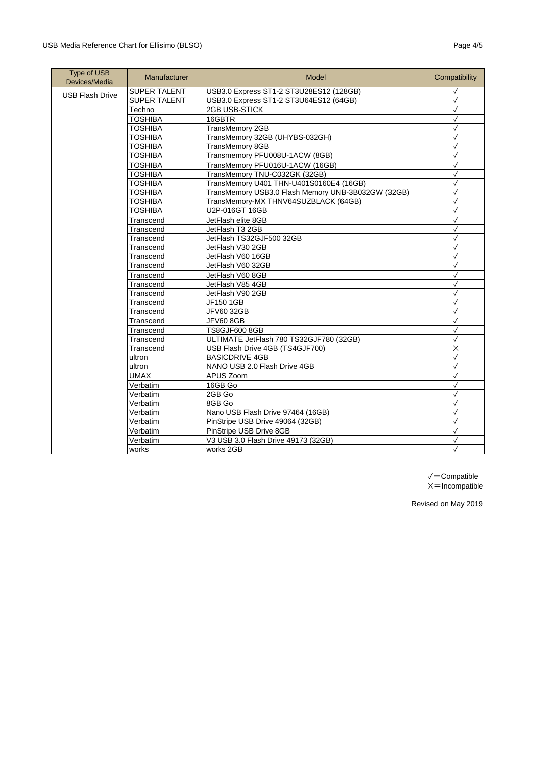| <b>Type of USB</b><br>Devices/Media | Manufacturer        | Model                                              | Compatibility |
|-------------------------------------|---------------------|----------------------------------------------------|---------------|
| <b>USB Flash Drive</b>              | <b>SUPER TALENT</b> | USB3.0 Express ST1-2 ST3U28ES12 (128GB)            | $\checkmark$  |
|                                     | <b>SUPER TALENT</b> | USB3.0 Express ST1-2 ST3U64ES12 (64GB)             | $\checkmark$  |
|                                     | Techno              | 2GB USB-STICK                                      | $\checkmark$  |
|                                     | <b>TOSHIBA</b>      | 16GBTR                                             | $\checkmark$  |
|                                     | TOSHIBA             | TransMemory 2GB                                    | ✓             |
|                                     | TOSHIBA             | TransMemory 32GB (UHYBS-032GH)                     | $\checkmark$  |
|                                     | TOSHIBA             | <b>TransMemory 8GB</b>                             | $\checkmark$  |
|                                     | <b>TOSHIBA</b>      | Transmemory PFU008U-1ACW (8GB)                     | $\checkmark$  |
|                                     | TOSHIBA             | TransMemory PFU016U-1ACW (16GB)                    | $\checkmark$  |
|                                     | <b>TOSHIBA</b>      | TransMemory TNU-C032GK (32GB)                      | $\checkmark$  |
|                                     | <b>TOSHIBA</b>      | TransMemory U401 THN-U401S0160E4 (16GB)            | $\checkmark$  |
|                                     | TOSHIBA             | TransMemory USB3.0 Flash Memory UNB-3B032GW (32GB) | $\checkmark$  |
|                                     | TOSHIBA             | TransMemory-MX THNV64SUZBLACK (64GB)               | $\checkmark$  |
|                                     | TOSHIBA             | U2P-016GT 16GB                                     | $\checkmark$  |
|                                     | Transcend           | JetFlash elite 8GB                                 | $\checkmark$  |
|                                     | Transcend           | JetFlash T3 2GB                                    | $\checkmark$  |
|                                     | Transcend           | JetFlash TS32GJF500 32GB                           | ✓             |
|                                     | Transcend           | JetFlash V30 2GB                                   | $\checkmark$  |
|                                     | Transcend           | JetFlash V60 16GB                                  | $\checkmark$  |
|                                     | Transcend           | JetFlash V60 32GB                                  | $\checkmark$  |
|                                     | Transcend           | JetFlash V60 8GB                                   | ✓             |
|                                     | Transcend           | JetFlash V85 4GB                                   | $\checkmark$  |
|                                     | Transcend           | JetFlash V90 2GB                                   | $\checkmark$  |
|                                     | Transcend           | JF150 1GB                                          | $\checkmark$  |
|                                     | Transcend           | JFV60 32GB                                         | $\checkmark$  |
|                                     | Transcend           | <b>JFV60 8GB</b>                                   | $\checkmark$  |
|                                     | Transcend           | TS8GJF600 8GB                                      | $\checkmark$  |
|                                     | Transcend           | ULTIMATE JetFlash 780 TS32GJF780 (32GB)            | $\checkmark$  |
|                                     | Transcend           | USB Flash Drive 4GB (TS4GJF700)                    | $\times$      |
|                                     | ultron              | <b>BASICDRIVE 4GB</b>                              | $\checkmark$  |
|                                     | ultron              | NANO USB 2.0 Flash Drive 4GB                       | $\checkmark$  |
|                                     | <b>UMAX</b>         | APUS Zoom                                          | $\checkmark$  |
|                                     | Verbatim            | 16GB Go                                            | $\checkmark$  |
|                                     | Verbatim            | 2GB Go                                             | $\checkmark$  |
|                                     | Verbatim            | 8GB Go                                             | $\checkmark$  |
|                                     | Verbatim            | Nano USB Flash Drive 97464 (16GB)                  | $\checkmark$  |
|                                     | Verbatim            | PinStripe USB Drive 49064 (32GB)                   | ✓             |
|                                     | Verbatim            | PinStripe USB Drive 8GB                            | $\checkmark$  |
|                                     | Verbatim            | V3 USB 3.0 Flash Drive 49173 (32GB)                | $\checkmark$  |
|                                     | works               | works 2GB                                          | $\checkmark$  |

✓=Compatible  $\times$ =Incompatible